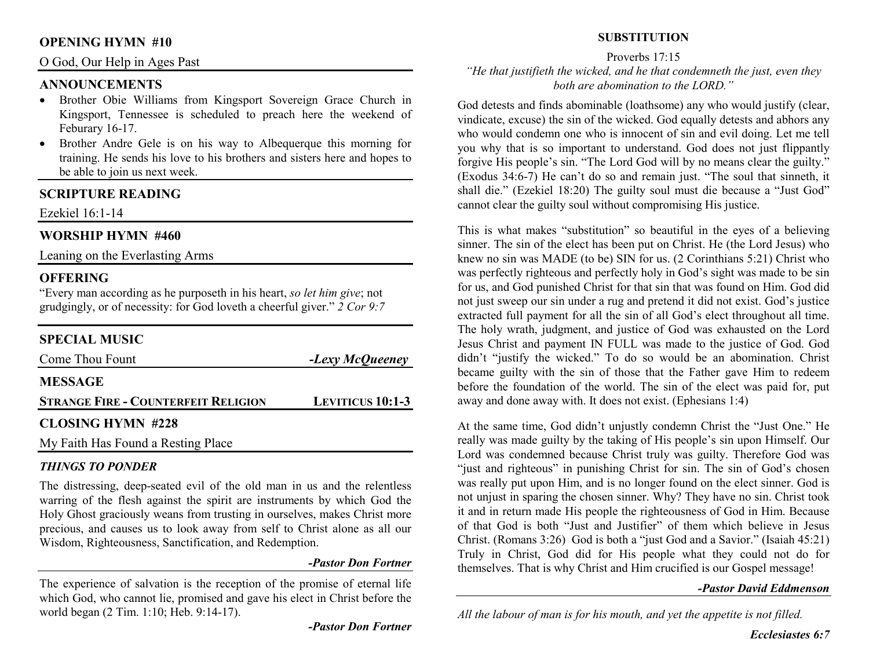## **OPENING HYMN #10**

### O God, Our Help in Ages Past

## **ANNOUNCEMENTS**

- Brother Obie Williams from Kingsport Sovereign Grace Church in Kingsport, Tennessee is scheduled to preach here the weekend of Feburary 16-17.
- • Brother Andre Gele is on his way to Albequerque this morning for training. He sends his love to his brothers and sisters here and hopes to be able to join us next week.

# **SCRIPTURE READING**

Ezekiel 16:1-14

# **WORSHIP HYMN #460**

Leaning on the Everlasting Arms

## **OFFERING**

 "Every man according as he purposeth in his heart, *so let him give*; not grudgingly, or of necessity: for God loveth a cheerful giver." *2 Cor 9:7*

# **SPECIAL MUSIC**

| Come Thou Fount                            | -Lexy McQueeney         |
|--------------------------------------------|-------------------------|
| <b>MESSAGE</b>                             |                         |
| <b>STRANGE FIRE - COUNTERFEIT RELIGION</b> | <b>LEVITICUS 10:1-3</b> |
| <b>CLOSING HYMN #228</b>                   |                         |
| My Faith Has Found a Resting Place         |                         |

#### *THINGS TO PONDER*

 The distressing, deep-seated evil of the old man in us and the relentless warring of the flesh against the spirit are instruments by which God the Holy Ghost graciously weans from trusting in ourselves, makes Christ more precious, and causes us to look away from self to Christ alone as all our Wisdom, Righteousness, Sanctification, and Redemption.

#### *-Pastor Don Fortner*

The experience of salvation is the reception of the promise of eternal life which God, who cannot lie, promised and gave his elect in Christ before the world began (2 Tim. 1:10; Heb. 9:14-17).

*-Pastor Don Fortner*

## **SUBSTITUTION**

Proverbs 17:15

 *"He that justifieth the wicked, and he that condemneth the just, even they both are abomination to the LORD."* 

God detests and finds abominable (loathsome) any who would justify (clear, vindicate, excuse) the sin of the wicked. God equally detests and abhors any who would condemn one who is innocent of sin and evil doing. Let me tell you why that is so important to understand. God does not just flippantly forgive His people's sin. "The Lord God will by no means clear the guilty." (Exodus 34:6-7) He can't do so and remain just. "The soul that sinneth, it shall die." (Ezekiel 18:20) The guilty soul must die because a "Just God" cannot clear the guilty soul without compromising His justice.

This is what makes "substitution" so beautiful in the eyes of a believing sinner. The sin of the elect has been put on Christ. He (the Lord Jesus) who knew no sin was MADE (to be) SIN for us. (2 Corinthians 5:21) Christ who was perfectly righteous and perfectly holy in God's sight was made to be sin for us, and God punished Christ for that sin that was found on Him. God did not just sweep our sin under a rug and pretend it did not exist. God's justice extracted full payment for all the sin of all God's elect throughout all time. The holy wrath, judgment, and justice of God was exhausted on the Lord Jesus Christ and payment IN FULL was made to the justice of God. God didn't "justify the wicked." To do so would be an abomination. Christ became guilty with the sin of those that the Father gave Him to redeem before the foundation of the world. The sin of the elect was paid for, put away and done away with. It does not exist. (Ephesians 1:4)

At the same time, God didn't unjustly condemn Christ the "Just One." He really was made guilty by the taking of His people's sin upon Himself. Our Lord was condemned because Christ truly was guilty. Therefore God was "just and righteous" in punishing Christ for sin. The sin of God's chosen was really put upon Him, and is no longer found on the elect sinner. God is not unjust in sparing the chosen sinner. Why? They have no sin. Christ took it and in return made His people the righteousness of God in Him. Because of that God is both "Just and Justifier" of them which believe in Jesus Christ. (Romans 3:26) God is both a "just God and a Savior." (Isaiah 45:21) Truly in Christ, God did for His people what they could not do for themselves. That is why Christ and Him crucified is our Gospel message!

#### *-Pastor David Eddmenson*

*All the labour of man is for his mouth, and yet the appetite is not filled.*